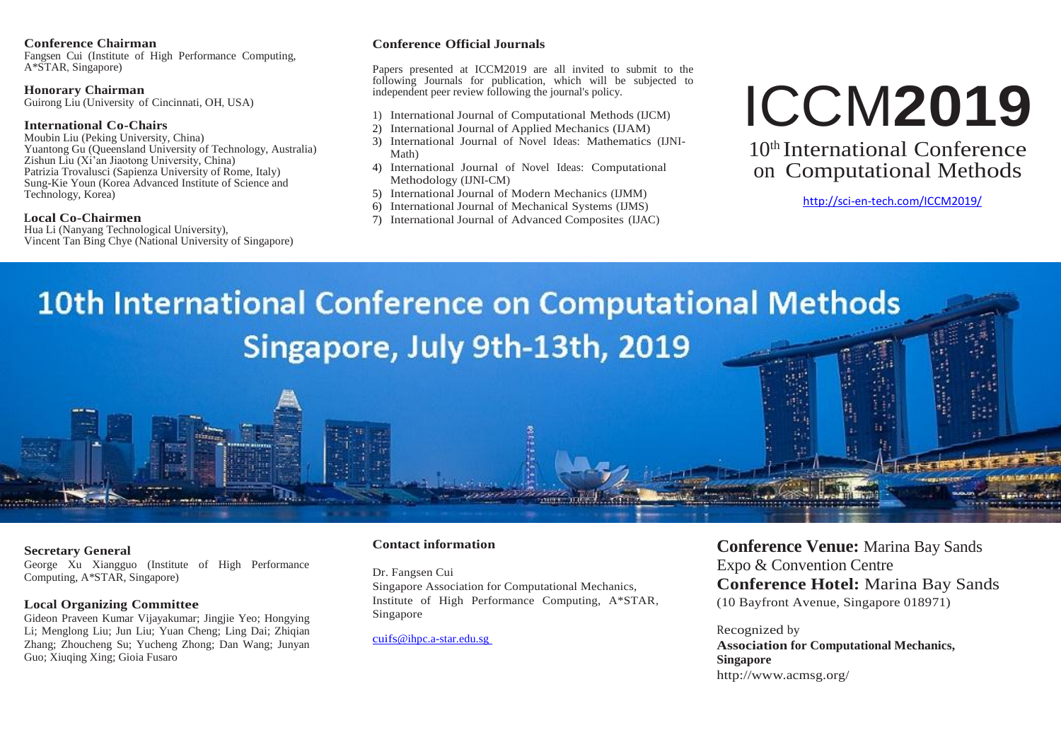#### **Conference Chairman**

Fangsen Cui (Institute of High Performance Computing, A\*STAR, Singapore)

#### **Honorary Chairman**

Guirong Liu (University of Cincinnati, OH, USA)

#### **International Co-Chairs**

Moubin Liu (Peking University, China) Yuantong Gu (Queensland University of Technology, Australia) Zishun Liu (Xi'an Jiaotong University, China) Patrizia Trovalusci (Sapienza University of Rome, Italy) Sung-Kie Youn (Korea Advanced Institute of Science and Technology, Korea)

#### **Local Co-Chairmen**

Hua Li (Nanyang Technological University), Vincent Tan Bing Chye (National University of Singapore)

#### **Conference Official Journals**

Papers presented at ICCM2019 are all invited to submit to the following Journals for publication, which will be subjected to independent peer review following the journal's policy.

- 1) International Journal of Computational Methods (IJCM)
- 2) International Journal of Applied Mechanics (IJAM)
- 3) International Journal of Novel Ideas: Mathematics (IJNI-Math)
- 4) International Journal of Novel Ideas: Computational Methodology (IJNI-CM)
- 5) International Journal of Modern Mechanics (IJMM)
- 6) International Journal of Mechanical Systems (IJMS)
- 7) International Journal of Advanced Composites (IJAC)

# ICCM**2019**

10th International Conference on Computational Methods

<http://sci-en-tech.com/ICCM2019/>

# **10th International Conference on Computational Methods** Singapore, July 9th-13th, 2019

#### **Secretary General**

George Xu Xiangguo (Institute of High Performance Computing, A\*STAR, Singapore)

#### **Local Organizing Committee**

Gideon Praveen Kumar Vijayakumar; Jingjie Yeo; Hongying Li; Menglong Liu; Jun Liu; Yuan Cheng; Ling Dai; Zhiqian Zhang; Zhoucheng Su; Yucheng Zhong; Dan Wang; Junyan Guo; Xiuqing Xing; Gioia Fusaro

#### **Contact information**

Dr. Fangsen Cui Singapore Association for Computational Mechanics, Institute of High Performance Computing, A\*STAR, Singapore

[cuifs@ihpc.a-star.edu.sg](mailto:cuifs@ihpc.a-star.edu.sg)

**Conference Venue:** Marina Bay Sands Expo & Convention Centre **Conference Hotel:** Marina Bay Sands (10 Bayfront Avenue, Singapore 018971)

#### Recognized by **Association for Computational Mechanics, Singapore** http://www.acmsg.org/